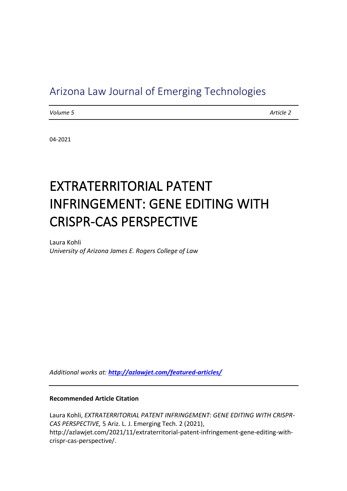# Arizona Law Journal of Emerging Technologies

*Volume 5 Article 2*

04-2021

# EXTRATERRITORIAL PATENT INFRINGEMENT: GENE EDITING WITH CRISPR-CAS PERSPECTIVE

Laura Kohli *University of Arizona James E. Rogers College of Law*

*Additional works at: <http://azlawjet.com/featured-articles/>*

#### **Recommended Article Citation**

Laura Kohli, *EXTRATERRITORIAL PATENT INFRINGEMENT: GENE EDITING WITH CRISPR-CAS PERSPECTIVE,* 5 Ariz. L. J. Emerging Tech. 2 (2021), http://azlawjet.com/2021/11/extraterritorial-patent-infringement-gene-editing-withcrispr-cas-perspective/.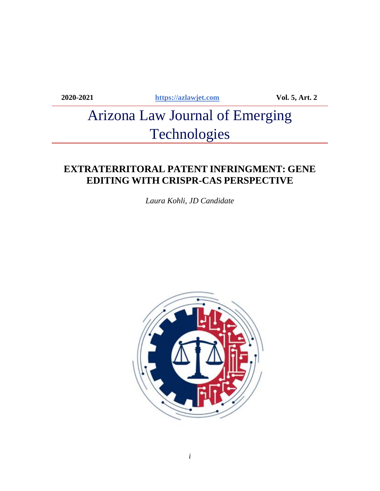**2020-2021 [https://azlawjet.com](https://azlawjet.com/) Vol. 5, Art. 2**

# Arizona Law Journal of Emerging **Technologies**

# **EXTRATERRITORAL PATENT INFRINGMENT: GENE EDITING WITH CRISPR-CAS PERSPECTIVE**

*Laura Kohli, JD Candidate*

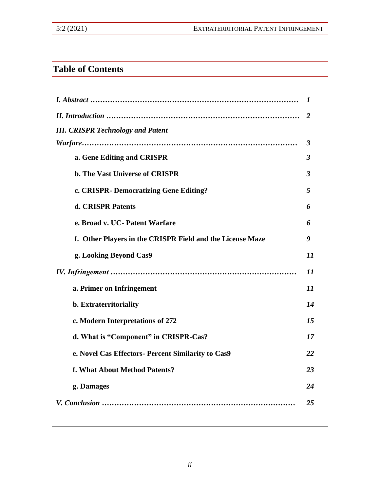# **Table of Contents**

|                                                           | 1                    |
|-----------------------------------------------------------|----------------------|
|                                                           | 2                    |
| <b>III. CRISPR Technology and Patent</b>                  |                      |
|                                                           | 3                    |
| a. Gene Editing and CRISPR                                | $\boldsymbol{\beta}$ |
| <b>b. The Vast Universe of CRISPR</b>                     | $\boldsymbol{\beta}$ |
| c. CRISPR- Democratizing Gene Editing?                    | 5                    |
| d. CRISPR Patents                                         | 6                    |
| e. Broad v. UC- Patent Warfare                            | 6                    |
| f. Other Players in the CRISPR Field and the License Maze | 9                    |
| g. Looking Beyond Cas9                                    | 11                   |
|                                                           | 11                   |
| a. Primer on Infringement                                 | 11                   |
| b. Extraterritoriality                                    | 14                   |
| c. Modern Interpretations of 272                          | 15                   |
| d. What is "Component" in CRISPR-Cas?                     | 17                   |
| e. Novel Cas Effectors- Percent Similarity to Cas9        | 22                   |
| f. What About Method Patents?                             | 23                   |
| g. Damages                                                | 24                   |
|                                                           | 25                   |
|                                                           |                      |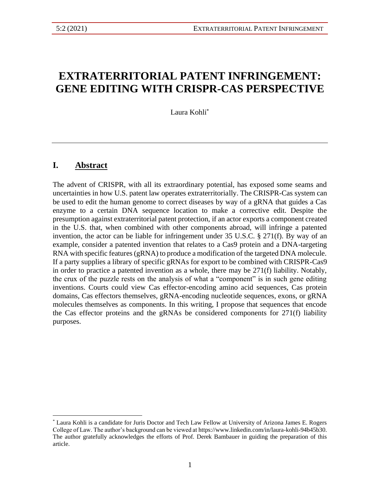# **EXTRATERRITORIAL PATENT INFRINGEMENT: GENE EDITING WITH CRISPR-CAS PERSPECTIVE**

Laura Kohli\*

### **I. Abstract**

The advent of CRISPR, with all its extraordinary potential, has exposed some seams and uncertainties in how U.S. patent law operates extraterritorially. The CRISPR-Cas system can be used to edit the human genome to correct diseases by way of a gRNA that guides a Cas enzyme to a certain DNA sequence location to make a corrective edit. Despite the presumption against extraterritorial patent protection, if an actor exports a component created in the U.S. that, when combined with other components abroad, will infringe a patented invention, the actor can be liable for infringement under 35 U.S.C. § 271(f). By way of an example, consider a patented invention that relates to a Cas9 protein and a DNA-targeting RNA with specific features (gRNA) to produce a modification of the targeted DNA molecule. If a party supplies a library of specific gRNAs for export to be combined with CRISPR-Cas9 in order to practice a patented invention as a whole, there may be 271(f) liability. Notably, the crux of the puzzle rests on the analysis of what a "component" is in such gene editing inventions. Courts could view Cas effector-encoding amino acid sequences, Cas protein domains, Cas effectors themselves, gRNA-encoding nucleotide sequences, exons, or gRNA molecules themselves as components. In this writing, I propose that sequences that encode the Cas effector proteins and the gRNAs be considered components for 271(f) liability purposes.

<sup>\*</sup> Laura Kohli is a candidate for Juris Doctor and Tech Law Fellow at University of Arizona James E. Rogers College of Law. The author's background can be viewed at https://www.linkedin.com/in/laura-kohli-94b45b30. The author gratefully acknowledges the efforts of Prof. Derek Bambauer in guiding the preparation of this article.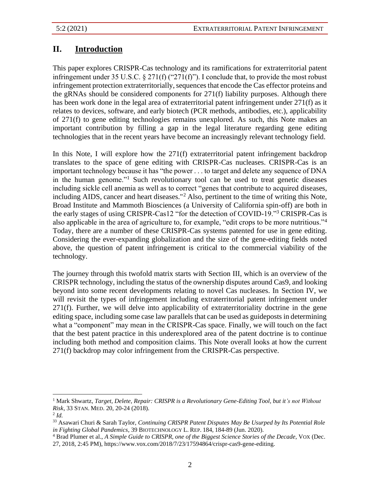# **II. Introduction**

This paper explores CRISPR-Cas technology and its ramifications for extraterritorial patent infringement under 35 U.S.C. § 271(f) ("271(f)"). I conclude that, to provide the most robust infringement protection extraterritorially, sequences that encode the Cas effector proteins and the gRNAs should be considered components for 271(f) liability purposes. Although there has been work done in the legal area of extraterritorial patent infringement under 271(f) as it relates to devices, software, and early biotech (PCR methods, antibodies, etc.), applicability of 271(f) to gene editing technologies remains unexplored. As such, this Note makes an important contribution by filling a gap in the legal literature regarding gene editing technologies that in the recent years have become an increasingly relevant technology field.

In this Note, I will explore how the 271(f) extraterritorial patent infringement backdrop translates to the space of gene editing with CRISPR-Cas nucleases. CRISPR-Cas is an important technology because it has "the power . . . to target and delete any sequence of DNA in the human genome."<sup>1</sup> Such revolutionary tool can be used to treat genetic diseases including sickle cell anemia as well as to correct "genes that contribute to acquired diseases, including AIDS, cancer and heart diseases."<sup>2</sup> Also, pertinent to the time of writing this Note, Broad Institute and Mammoth Biosciences (a University of California spin-off) are both in the early stages of using CRISPR-Cas12 "for the detection of COVID-19."<sup>3</sup> CRISPR-Cas is also applicable in the area of agriculture to, for example, "edit crops to be more nutritious."<sup>4</sup> Today, there are a number of these CRISPR-Cas systems patented for use in gene editing. Considering the ever-expanding globalization and the size of the gene-editing fields noted above, the question of patent infringement is critical to the commercial viability of the technology.

The journey through this twofold matrix starts with Section III, which is an overview of the CRISPR technology, including the status of the ownership disputes around Cas9, and looking beyond into some recent developments relating to novel Cas nucleases. In Section IV, we will revisit the types of infringement including extraterritorial patent infringement under 271(f). Further, we will delve into applicability of extraterritoriality doctrine in the gene editing space, including some case law parallels that can be used as guideposts in determining what a "component" may mean in the CRISPR-Cas space. Finally, we will touch on the fact that the best patent practice in this underexplored area of the patent doctrine is to continue including both method and composition claims. This Note overall looks at how the current 271(f) backdrop may color infringement from the CRISPR-Cas perspective.

<sup>1</sup> Mark Shwartz, *Target, Delete, Repair: CRISPR is a Revolutionary Gene-Editing Tool, but it's not Without Risk*, 33 STAN. MED. 20, 20-24 (2018).

<sup>2</sup> *Id.*

<sup>33</sup> Asawari Churi & Sarah Taylor, *Continuing CRISPR Patent Disputes May Be Usurped by Its Potential Role in Fighting Global Pandemics*, 39 BIOTECHNOLOGY L. REP. 184, 184-89 (Jun. 2020).

<sup>4</sup> Brad Plumer et al., *A Simple Guide to CRISPR, one of the Biggest Science Stories of the Decade*, VOX (Dec. 27, 2018, 2:45 PM), https://www.vox.com/2018/7/23/17594864/crispr-cas9-gene-editing.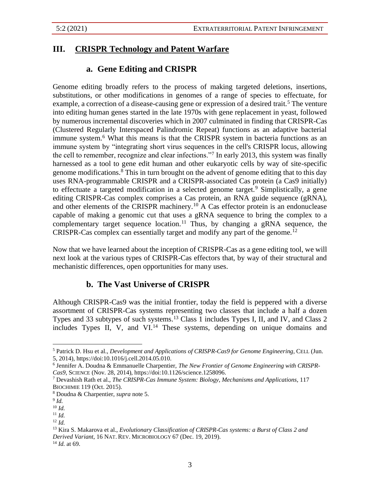# **III. CRISPR Technology and Patent Warfare**

# **a. Gene Editing and CRISPR**

Genome editing broadly refers to the process of making targeted deletions, insertions, substitutions, or other modifications in genomes of a range of species to effectuate, for example, a correction of a disease-causing gene or expression of a desired trait.<sup>5</sup> The venture into editing human genes started in the late 1970s with gene replacement in yeast, followed by numerous incremental discoveries which in 2007 culminated in finding that CRISPR-Cas (Clustered Regularly Interspaced Palindromic Repeat) functions as an adaptive bacterial immune system.<sup>6</sup> What this means is that the CRISPR system in bacteria functions as an immune system by "integrating short virus sequences in the cell's CRISPR locus, allowing the cell to remember, recognize and clear infections."<sup>7</sup> In early 2013, this system was finally harnessed as a tool to gene edit human and other eukaryotic cells by way of site-specific genome modifications.<sup>8</sup> This in turn brought on the advent of genome editing that to this day uses RNA-programmable CRISPR and a CRISPR-associated Cas protein (a Cas9 initially) to effectuate a targeted modification in a selected genome target.<sup>9</sup> Simplistically, a gene editing CRISPR-Cas complex comprises a Cas protein, an RNA guide sequence (gRNA), and other elements of the CRISPR machinery.<sup>10</sup> A Cas effector protein is an endonuclease capable of making a genomic cut that uses a gRNA sequence to bring the complex to a complementary target sequence location.<sup>11</sup> Thus, by changing a gRNA sequence, the CRISPR-Cas complex can essentially target and modify any part of the genome.<sup>12</sup>

Now that we have learned about the inception of CRISPR-Cas as a gene editing tool, we will next look at the various types of CRISPR-Cas effectors that, by way of their structural and mechanistic differences, open opportunities for many uses.

# **b. The Vast Universe of CRISPR**

Although CRISPR-Cas9 was the initial frontier, today the field is peppered with a diverse assortment of CRISPR-Cas systems representing two classes that include a half a dozen Types and 33 subtypes of such systems.<sup>13</sup> Class 1 includes Types I, II, and IV, and Class 2 includes Types II, V, and VI.<sup>14</sup> These systems, depending on unique domains and

<sup>5</sup> Patrick D. Hsu et al., *Development and Applications of CRISPR-Cas9 for Genome Engineering*, CELL (Jun. 5, 2014), https://doi:10.1016/j.cell.2014.05.010.

<sup>6</sup> Jennifer A. Doudna & Emmanuelle Charpentier, *The New Frontier of Genome Engineering with CRISPR-Cas9*, SCIENCE (Nov. 28, 2014), https://doi:10.1126/science.1258096.

<sup>7</sup> Devashish Rath et al., *The CRISPR-Cas Immune System: Biology, Mechanisms and Applications*, 117 BIOCHIMIE 119 (Oct. 2015).

<sup>8</sup> Doudna & Charpentier, *supra* note 5.

<sup>9</sup> *Id.*

<sup>10</sup> *Id.*

<sup>11</sup> *Id.*

<sup>12</sup> *Id.*

<sup>13</sup> Kira S. Makarova et al., *Evolutionary Classification of CRISPR-Cas systems: a Burst of Class 2 and Derived Variant*, 16 NAT. REV. MICROBIOLOGY 67 (Dec. 19, 2019). <sup>14</sup> *Id.* at 69.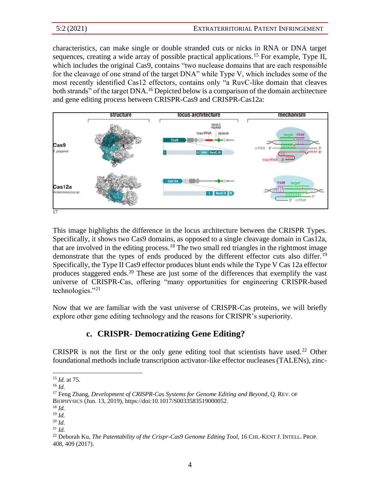characteristics, can make single or double stranded cuts or nicks in RNA or DNA target sequences, creating a wide array of possible practical applications.<sup>15</sup> For example, Type II, which includes the original Cas9, contains "two nuclease domains that are each responsible for the cleavage of one strand of the target DNA" while Type V, which includes some of the most recently identified Cas12 effectors, contains only "a RuvC-like domain that cleaves both strands" of the target DNA.<sup>16</sup> Depicted below is a comparison of the domain architecture and gene editing process between CRISPR-Cas9 and CRISPR-Cas12a:



This image highlights the difference in the locus architecture between the CRISPR Types. Specifically, it shows two Cas9 domains, as opposed to a single cleavage domain in Cas12a, that are involved in the editing process.<sup>18</sup> The two small red triangles in the rightmost image demonstrate that the types of ends produced by the different effector cuts also differ.<sup>19</sup> Specifically, the Type II Cas9 effector produces blunt ends while the Type V Cas 12a effector produces staggered ends.<sup>20</sup> These are just some of the differences that exemplify the vast universe of CRISPR-Cas, offering "many opportunities for engineering CRISPR-based technologies."<sup>21</sup>

Now that we are familiar with the vast universe of CRISPR-Cas proteins, we will briefly explore other gene editing technology and the reasons for CRISPR's superiority.

# **c. CRISPR- Democratizing Gene Editing?**

CRISPR is not the first or the only gene editing tool that scientists have used.<sup>22</sup> Other foundational methods include transcription activator-like effector nucleases (TALENs), zinc-

<sup>15</sup> *Id.* at 75.

<sup>16</sup> *Id.*

<sup>17</sup> Feng Zhang, *Development of CRISPR-Cas Systems for Genome Editing and Beyond*, Q. REV. OF BIOPHYSICS (Jun. 13, 2019), https://doi:10.1017/S0033583519000052.

<sup>18</sup> *Id.*

<sup>19</sup> *Id.*

<sup>20</sup> *Id.*

<sup>21</sup> *Id.*

<sup>&</sup>lt;sup>22</sup> Deborah Ku, *The Patentability of the Crispr-Cas9 Genome Editing Tool*, 16 CHI.-KENT J. INTELL. PROP. 408, 409 (2017).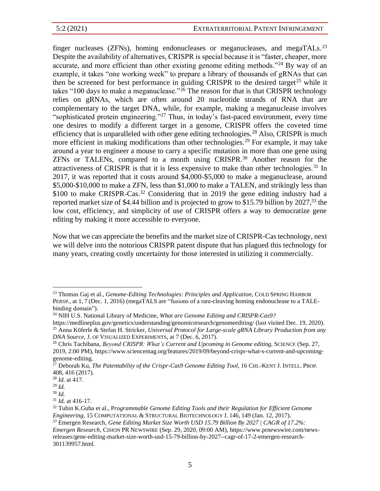finger nucleases (ZFNs), homing endonucleases or meganucleases, and megaTALs.<sup>23</sup> Despite the availability of alternatives, CRISPR is special because it is "faster, cheaper, more accurate, and more efficient than other existing genome editing methods."<sup>24</sup> By way of an example, it takes "one working week" to prepare a library of thousands of gRNAs that can then be screened for best performance in guiding CRISPR to the desired target<sup>25</sup> while it takes "100 days to make a meganuclease."<sup>26</sup> The reason for that is that CRISPR technology relies on gRNAs, which are often around 20 nucleotide strands of RNA that are complementary to the target DNA, while, for example, making a meganuclease involves "sophisticated protein engineering."<sup>27</sup> Thus, in today's fast-paced environment, every time one desires to modify a different target in a genome, CRISPR offers the coveted time efficiency that is unparalleled with other gene editing technologies.<sup>28</sup> Also, CRISPR is much more efficient in making modifications than other technologies.<sup>29</sup> For example, it may take around a year to engineer a mouse to carry a specific mutation in more than one gene using ZFNs or TALENs, compared to a month using CRISPR.<sup>30</sup> Another reason for the attractiveness of CRISPR is that it is less expensive to make than other technologies.<sup>31</sup> In 2017, it was reported that it costs around \$4,000-\$5,000 to make a meganuclease, around \$5,000-\$10,000 to make a ZFN, less than \$1,000 to make a TALEN, and strikingly less than \$100 to make CRISPR-Cas.<sup>32</sup> Considering that in 2019 the gene editing industry had a reported market size of \$4.44 billion and is projected to grow to \$15.79 billion by 2027,<sup>33</sup> the low cost, efficiency, and simplicity of use of CRISPR offers a way to democratize gene editing by making it more accessible to everyone.

Now that we can appreciate the benefits and the market size of CRISPR-Cas technology, next we will delve into the notorious CRISPR patent dispute that has plagued this technology for many years, creating costly uncertainty for those interested in utilizing it commercially.

<sup>23</sup> Thomas Gaj et al., *Genome-Editing Technologies: Principles and Application*, COLD SPRING HARBOR PERSP., at 1, 7 (Dec. 1, 2016) (megaTALS are "fusions of a rare-cleaving homing endonuclease to a TALEbinding domain").

<sup>24</sup> NIH U.S. National Library of Medicine, *What are Genome Editing and CRISPR-Cas9?*

https://medlineplus.gov/genetics/understanding/genomicresearch/genomeediting/ (last visited Dec. 19, 2020). <sup>25</sup> Anna Köferle & Stefan H. Stricker, *Universal Protocol for Large-scale gRNA Library Production from any* 

*DNA Source*, J. OF VISUALIZED EXPERIMENTS, at 7 (Dec. 6, 2017).

<sup>26</sup> Chris Tachibana, *Beyond CRISPR: What's Current and Upcoming in Genome editing,* SCIENCE (Sep. 27, 2019, 2:00 PM), https://www.sciencemag.org/features/2019/09/beyond-crispr-what-s-current-and-upcominggenome-editing.

<sup>&</sup>lt;sup>27</sup> Deborah Ku, *The Patentability of the Crispr-Cas9 Genome Editing Tool*, 16 CHI.-KENT J. INTELL. PROP. 408, 416 (2017).

<sup>28</sup> *Id.* at 417.

<sup>29</sup> *Id.*

<sup>30</sup> *Id.*

<sup>31</sup> *Id.* at 416-17.

<sup>32</sup> Tuhin K.Guha et al., P*rogrammable Genome Editing Tools and their Regulation for Efficient Genome Engineering*, 15 COMPUTATIONAL & STRUCTURAL BIOTECHNOLOGY J. 146, 149 (Jan. 12, 2017).

<sup>33</sup> Emergen Research, *Gene Editing Market Size Worth USD 15.79 Billion By 2027 | CAGR of 17.2%: Emergen Research*, CISION PR NEWSWIRE (Sep. 29, 2020, 09:00 AM), https://www.prnewswire.com/newsreleases/gene-editing-market-size-worth-usd-15-79-billion-by-2027--cagr-of-17-2-emergen-research-301139957.html.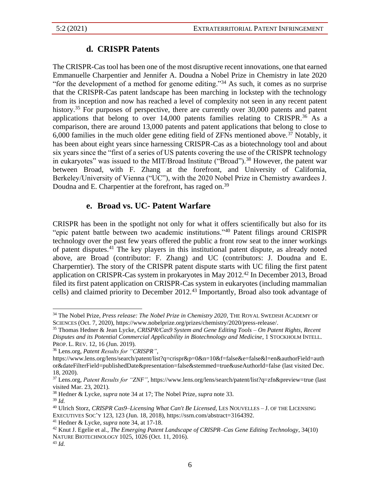# **d. CRISPR Patents**

The CRISPR-Cas tool has been one of the most disruptive recent innovations, one that earned Emmanuelle Charpentier and Jennifer A. Doudna a Nobel Prize in Chemistry in late 2020 "for the development of a method for genome editing."<sup>34</sup> As such, it comes as no surprise that the CRISPR-Cas patent landscape has been marching in lockstep with the technology from its inception and now has reached a level of complexity not seen in any recent patent history.<sup>35</sup> For purposes of perspective, there are currently over  $30,000$  patents and patent applications that belong to over  $14,000$  patents families relating to CRISPR.<sup>36</sup> As a comparison, there are around 13,000 patents and patent applications that belong to close to 6,000 families in the much older gene editing field of ZFNs mentioned above.<sup>37</sup> Notably, it has been about eight years since harnessing CRISPR-Cas as a biotechnology tool and about six years since the "first of a series of US patents covering the use of the CRISPR technology in eukaryotes" was issued to the MIT/Broad Institute ("Broad").<sup>38</sup> However, the patent war between Broad, with F. Zhang at the forefront, and University of California, Berkeley/University of Vienna ("UC"), with the 2020 Nobel Prize in Chemistry awardees J. Doudna and E. Charpentier at the forefront, has raged on.<sup>39</sup>

# **e. Broad vs. UC- Patent Warfare**

CRISPR has been in the spotlight not only for what it offers scientifically but also for its "epic patent battle between two academic institutions."<sup>40</sup> Patent filings around CRISPR technology over the past few years offered the public a front row seat to the inner workings of patent disputes.<sup>41</sup> The key players in this institutional patent dispute, as already noted above, are Broad (contributor: F. Zhang) and UC (contributors: J. Doudna and E. Charperntier). The story of the CRISPR patent dispute starts with UC filing the first patent application on CRISPR-Cas system in prokaryotes in May 2012.<sup>42</sup> In December 2013, Broad filed its first patent application on CRISPR-Cas system in eukaryotes (including mammalian cells) and claimed priority to December 2012.<sup>43</sup> Importantly, Broad also took advantage of

<sup>34</sup> The Nobel Prize, *Press release: The Nobel Prize in Chemistry 2020*, THE ROYAL SWEDISH ACADEMY OF SCIENCES (Oct. 7, 2020), https://www.nobelprize.org/prizes/chemistry/2020/press-release/.

<sup>35</sup> Thomas Hedner & Jean Lycke, *CRISPR/Cas9 System and Gene Editing Tools – On Patent Rights, Recent Disputes and its Potential Commercial Applicability in Biotechnology and Medicine*, 1 STOCKHOLM INTELL. PROP. L. REV. 12, 16 (Jun. 2019).

<sup>36</sup> Lens.org, *Patent Results for "CRISPR"*,

https://www.lens.org/lens/search/patent/list?q=crispr&p=0&n=10&f=false&e=false&l=en&authorField=auth or&dateFilterField=publishedDate&presentation=false&stemmed=true&useAuthorId=false (last visited Dec. 18, 2020).

<sup>37</sup> Lens.org, *Patent Results for "ZNF"*, https://www.lens.org/lens/search/patent/list?q=zfn&preview=true (last visited Mar. 23, 2021).

<sup>38</sup> Hedner & Lycke, *supra* note 34 at 17; The Nobel Prize, *supra* note 33.

<sup>39</sup> *Id.*

<sup>40</sup> Ulrich Storz, *CRISPR Cas9–Licensing What Can't Be Licensed*, LES NOUVELLES – J. OF THE LICENSING EXECUTIVES SOC'Y 123, 123 (Jun. 18, 2018), https://ssrn.com/abstract=3164392.

<sup>41</sup> Hedner & Lycke, *supra* note 34, at 17-18.

<sup>42</sup> Knut J. Egelie et al., *The Emerging Patent Landscape of CRISPR–Cas Gene Editing Technology*, 34(10) NATURE BIOTECHNOLOGY 1025, 1026 (Oct. 11, 2016). <sup>43</sup> *Id.*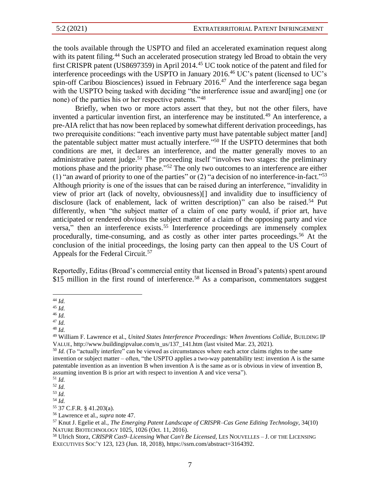the tools available through the USPTO and filed an accelerated examination request along with its patent filing.<sup>44</sup> Such an accelerated prosecution strategy led Broad to obtain the very first CRISPR patent (US8697359) in April 2014.<sup>45</sup> UC took notice of the patent and filed for interference proceedings with the USPTO in January 2016.<sup>46</sup> UC's patent (licensed to UC's spin-off Caribou Biosciences) issued in February 2016.<sup>47</sup> And the interference saga began with the USPTO being tasked with deciding "the interference issue and award [ing] one (or none) of the parties his or her respective patents."<sup>48</sup>

Briefly, when two or more actors assert that they, but not the other filers, have invented a particular invention first, an interference may be instituted.<sup>49</sup> An interference, a pre-AIA relict that has now been replaced by somewhat different derivation proceedings, has two prerequisite conditions: "each inventive party must have patentable subject matter [and] the patentable subject matter must actually interfere." <sup>50</sup> If the USPTO determines that both conditions are met, it declares an interference, and the matter generally moves to an administrative patent judge.<sup>51</sup> The proceeding itself "involves two stages: the preliminary motions phase and the priority phase."<sup>52</sup> The only two outcomes to an interference are either (1) "an award of priority to one of the parties" or  $(2)$  "a decision of no interference-in-fact."<sup>53</sup> Although priority is one of the issues that can be raised during an interference, "invalidity in view of prior art (lack of novelty, obviousness)[] and invalidity due to insufficiency of disclosure (lack of enablement, lack of written description)" can also be raised.<sup>54</sup> Put differently, when "the subject matter of a claim of one party would, if prior art, have anticipated or rendered obvious the subject matter of a claim of the opposing party and vice versa," then an interference exists.<sup>55</sup> Interference proceedings are immensely complex procedurally, time-consuming, and as costly as other inter partes proceedings.<sup>56</sup> At the conclusion of the initial proceedings, the losing party can then appeal to the US Court of Appeals for the Federal Circuit.<sup>57</sup>

Reportedly, Editas (Broad's commercial entity that licensed in Broad's patents) spent around \$15 million in the first round of interference.<sup>58</sup> As a comparison, commentators suggest

<sup>44</sup> *Id.*

<sup>45</sup> *Id.*

<sup>46</sup> *Id.*

<sup>47</sup> *Id.*

<sup>48</sup> *Id.*

<sup>49</sup> William F. Lawrence et al., *United States Interference Proceedings: When Inventions Collide*, BUILDING IP VALUE, http://www.buildingipvalue.com/n\_us/137\_141.htm (last visited Mar. 23, 2021).

<sup>&</sup>lt;sup>50</sup> *Id.* (To "actually interfere" can be viewed as circumstances where each actor claims rights to the same invention or subject matter – often, "the USPTO applies a two-way patentability test: invention A is the same patentable invention as an invention B when invention A is the same as or is obvious in view of invention B, assuming invention B is prior art with respect to invention A and vice versa").

<sup>51</sup> *Id.*

<sup>52</sup> *Id.*

<sup>53</sup> *Id.* <sup>54</sup> *Id.*

<sup>55</sup> 37 C.F.R. § 41.203(a).

<sup>56</sup> Lawrence et al., *supra* note 47.

<sup>57</sup> Knut J. Egelie et al., *The Emerging Patent Landscape of CRISPR–Cas Gene Editing Technology*, 34(10) NATURE BIOTECHNOLOGY 1025, 1026 (Oct. 11, 2016).

<sup>58</sup> Ulrich Storz, *CRISPR Cas9–Licensing What Can't Be Licensed*, LES NOUVELLES – J. OF THE LICENSING EXECUTIVES SOC'Y 123, 123 (Jun. 18, 2018), https://ssrn.com/abstract=3164392.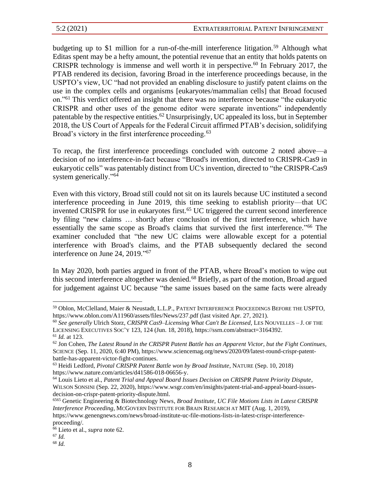budgeting up to \$1 million for a run-of-the-mill interference litigation.<sup>59</sup> Although what Editas spent may be a hefty amount, the potential revenue that an entity that holds patents on CRISPR technology is immense and well worth it in perspective.<sup>60</sup> In February 2017, the PTAB rendered its decision, favoring Broad in the interference proceedings because, in the USPTO's view, UC "had not provided an enabling disclosure to justify patent claims on the use in the complex cells and organisms [eukaryotes/mammalian cells] that Broad focused on."<sup>61</sup> This verdict offered an insight that there was no interference because "the eukaryotic CRISPR and other uses of the genome editor were separate inventions" independently patentable by the respective entities.<sup>62</sup> Unsurprisingly, UC appealed its loss, but in September 2018, the US Court of Appeals for the Federal Circuit affirmed PTAB's decision, solidifying Broad's victory in the first interference proceeding.<sup>63</sup>

To recap, the first interference proceedings concluded with outcome 2 noted above—a decision of no interference-in-fact because "Broad's invention, directed to CRISPR-Cas9 in eukaryotic cells" was patentably distinct from UC's invention, directed to "the CRISPR-Cas9 system generically."<sup>64</sup>

Even with this victory, Broad still could not sit on its laurels because UC instituted a second interference proceeding in June 2019, this time seeking to establish priority—that UC invented CRISPR for use in eukaryotes first.<sup>65</sup> UC triggered the current second interference by filing "new claims … shortly after conclusion of the first interference, which have essentially the same scope as Broad's claims that survived the first interference."<sup>66</sup> The examiner concluded that "the new UC claims were allowable except for a potential interference with Broad's claims, and the PTAB subsequently declared the second interference on June 24, 2019."<sup>67</sup>

In May 2020, both parties argued in front of the PTAB, where Broad's motion to wipe out this second interference altogether was denied.<sup>68</sup> Briefly, as part of the motion, Broad argued for judgement against UC because "the same issues based on the same facts were already

<sup>59</sup> Oblon, McClelland, Maier & Neustadt, L.L.P., PATENT INTERFERENCE PROCEEDINGS BEFORE THE USPTO*,*  https://www.oblon.com/A11960/assets/files/News/237.pdf (last visited Apr. 27, 2021).

<sup>60</sup> *See generally* Ulrich Storz, *CRISPR Cas9–Licensing What Can't Be Licensed*, LES NOUVELLES – J. OF THE LICENSING EXECUTIVES SOC'Y 123, 124 (Jun. 18, 2018), https://ssrn.com/abstract=3164392.

<sup>61</sup> *Id.* at 123.

<sup>62</sup> Jon Cohen, *The Latest Round in the CRISPR Patent Battle has an Apparent Victor, but the Fight Continues*, SCIENCE (Sep. 11, 2020, 6:40 PM), https://www.sciencemag.org/news/2020/09/latest-round-crispr-patentbattle-has-apparent-victor-fight-continues.

<sup>63</sup> Heidi Ledford, *Pivotal CRISPR Patent Battle won by Broad Institute*, NATURE (Sep. 10, 2018) https://www.nature.com/articles/d41586-018-06656-y.

<sup>64</sup> Louis Lieto et al., *Patent Trial and Appeal Board Issues Decision on CRISPR Patent Priority Dispute*, WILSON SONSINI (Sep. 22, 2020), https://www.wsgr.com/en/insights/patent-trial-and-appeal-board-issuesdecision-on-crispr-patent-priority-dispute.html.

<sup>6565</sup> Genetic Engineering & Biotechnology News, *Broad Institute, UC File Motions Lists in Latest CRISPR Interference Proceeding*, MCGOVERN INSTITUTE FOR BRAIN RESEARCH AT MIT (Aug. 1, 2019), https://www.genengnews.com/news/broad-institute-uc-file-motions-lists-in-latest-crispr-interferenceproceeding/.

<sup>66</sup> Lieto et al., *supra* note 62.

<sup>67</sup> *Id.*

<sup>68</sup> *Id.*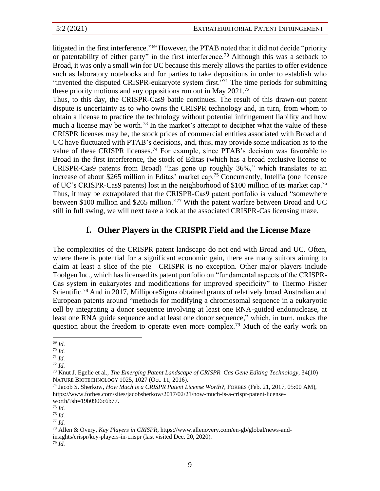litigated in the first interference."<sup>69</sup> However, the PTAB noted that it did not decide "priority or patentability of either party" in the first interference.<sup>70</sup> Although this was a setback to Broad, it was only a small win for UC because this merely allows the parties to offer evidence such as laboratory notebooks and for parties to take depositions in order to establish who "invented the disputed CRISPR-eukaryote system first."<sup>71</sup> The time periods for submitting these priority motions and any oppositions run out in May 2021.<sup>72</sup>

Thus, to this day, the CRISPR-Cas9 battle continues. The result of this drawn-out patent dispute is uncertainty as to who owns the CRISPR technology and, in turn, from whom to obtain a license to practice the technology without potential infringement liability and how much a license may be worth.<sup>73</sup> In the market's attempt to decipher what the value of these CRISPR licenses may be, the stock prices of commercial entities associated with Broad and UC have fluctuated with PTAB's decisions, and, thus, may provide some indication as to the value of these CRISPR licenses.<sup>74</sup> For example, since PTAB's decision was favorable to Broad in the first interference, the stock of Editas (which has a broad exclusive license to CRISPR-Cas9 patents from Broad) "has gone up roughly 36%," which translates to an increase of about \$265 million in Editas' market cap.<sup>75</sup> Concurrently, Intellia (one licensee of UC's CRISPR-Cas9 patents) lost in the neighborhood of \$100 million of its market cap.<sup>76</sup> Thus, it may be extrapolated that the CRISPR-Cas9 patent portfolio is valued "somewhere between \$100 million and \$265 million."<sup>77</sup> With the patent warfare between Broad and UC still in full swing, we will next take a look at the associated CRISPR-Cas licensing maze.

#### **f. Other Players in the CRISPR Field and the License Maze**

The complexities of the CRISPR patent landscape do not end with Broad and UC. Often, where there is potential for a significant economic gain, there are many suitors aiming to claim at least a slice of the pie—CRISPR is no exception. Other major players include Toolgen Inc., which has licensed its patent portfolio on "fundamental aspects of the CRISPR-Cas system in eukaryotes and modifications for improved specificity" to Thermo Fisher Scientific.<sup>78</sup> And in 2017, MilliporeSigma obtained grants of relatively broad Australian and European patents around "methods for modifying a chromosomal sequence in a eukaryotic cell by integrating a donor sequence involving at least one RNA-guided endonuclease, at least one RNA guide sequence and at least one donor sequence," which, in turn, makes the question about the freedom to operate even more complex.<sup>79</sup> Much of the early work on

- <sup>71</sup> *Id.*
- <sup>72</sup> *Id.*

<sup>69</sup> *Id.*

<sup>70</sup> *Id.*

<sup>73</sup> Knut J. Egelie et al., *The Emerging Patent Landscape of CRISPR–Cas Gene Editing Technology*, 34(10) NATURE BIOTECHNOLOGY 1025, 1027 (Oct. 11, 2016).

<sup>74</sup> Jacob S. Sherkow, *How Much is a CRISPR Patent License Worth?*, FORBES (Feb. 21, 2017, 05:00 AM), https://www.forbes.com/sites/jacobsherkow/2017/02/21/how-much-is-a-crispr-patent-licenseworth/?sh=19b0906c6b77.

<sup>75</sup> *Id.*

<sup>76</sup> *Id.*

<sup>77</sup> *Id.*

<sup>78</sup> Allen & Overy, *Key Players in CRISPR*, https://www.allenovery.com/en-gb/global/news-andinsights/crispr/key-players-in-crispr (last visited Dec. 20, 2020).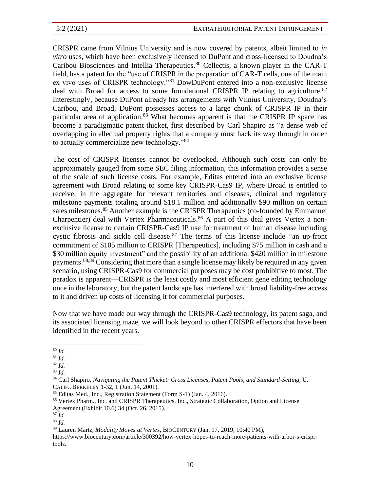CRISPR came from Vilnius University and is now covered by patents, albeit limited to *in vitro* uses, which have been exclusively licensed to DuPont and cross-licensed to Doudna's Caribou Biosciences and Intellia Therapeutics.<sup>80</sup> Cellectis, a known player in the CAR-T field, has a patent for the "use of CRISPR in the preparation of CAR-T cells, one of the main ex vivo uses of CRISPR technology."<sup>81</sup> DowDuPont entered into a non-exclusive license deal with Broad for access to some foundational CRISPR IP relating to agriculture.<sup>82</sup> Interestingly, because DuPont already has arrangements with Vilnius University, Doudna's Caribou, and Broad, DuPont possesses access to a large chunk of CRISPR IP in their particular area of application.<sup>83</sup> What becomes apparent is that the CRISPR IP space has become a paradigmatic patent thicket, first described by Carl Shapiro as "a dense web of overlapping intellectual property rights that a company must hack its way through in order to actually commercialize new technology."<sup>84</sup>

The cost of CRISPR licenses cannot be overlooked. Although such costs can only be approximately gauged from some SEC filing information, this information provides a sense of the scale of such license costs. For example, Editas entered into an exclusive license agreement with Broad relating to some key CRISPR-Cas9 IP, where Broad is entitled to receive, in the aggregate for relevant territories and diseases, clinical and regulatory milestone payments totaling around \$18.1 million and additionally \$90 million on certain sales milestones.<sup>85</sup> Another example is the CRISPR Therapeutics (co-founded by Emmanuel Charpentier) deal with Vertex Pharmaceuticals.<sup>86</sup> A part of this deal gives Vertex a nonexclusive license to certain CRISPR-Cas9 IP use for treatment of human disease including cystic fibrosis and sickle cell disease.<sup>87</sup> The terms of this license include "an up-front commitment of \$105 million to CRISPR [Therapeutics], including \$75 million in cash and a \$30 million equity investment" and the possibility of an additional \$420 million in milestone payments.88,89 Considering that more than a single license may likely be required in any given scenario, using CRISPR-Cas9 for commercial purposes may be cost prohibitive to most. The paradox is apparent—CRISPR is the least costly and most efficient gene editing technology once in the laboratory, but the patent landscape has interfered with broad liability-free access to it and driven up costs of licensing it for commercial purposes.

Now that we have made our way through the CRISPR-Cas9 technology, its patent saga, and its associated licensing maze, we will look beyond to other CRISPR effectors that have been identified in the recent years.

<sup>80</sup> *Id.*

<sup>81</sup> *Id.*

<sup>82</sup> *Id.*

<sup>83</sup> *Id.*

<sup>84</sup> Carl Shapiro, *Navigating the Patent Thicket: Cross Licenses, Patent Pools, and Standard-Setting*, U. CALIF., BERKELEY 1-32, 1 (Jun. 14, 2001).

<sup>85</sup> Editas Med., Inc., Registration Statement (Form S-1) (Jan. 4, 2016).

<sup>86</sup> Vertex Pharm., Inc. and CRISPR Therapeutics, Inc., Strategic Collaboration, Option and License Agreement (Exhibit 10.6) 34 (Oct. 26, 2015).

<sup>87</sup> *Id.*

<sup>88</sup> *Id.*

<sup>89</sup> Lauren Martz, *Modality Moves at Vertex*, BIOCENTURY (Jan. 17, 2019, 10:40 PM),

https://www.biocentury.com/article/300392/how-vertex-hopes-to-reach-more-patients-with-arbor-s-crisprtools.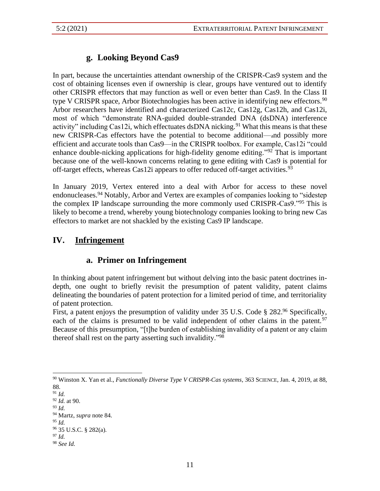# **g. Looking Beyond Cas9**

In part, because the uncertainties attendant ownership of the CRISPR-Cas9 system and the cost of obtaining licenses even if ownership is clear, groups have ventured out to identify other CRISPR effectors that may function as well or even better than Cas9. In the Class II type V CRISPR space, Arbor Biotechnologies has been active in identifying new effectors.<sup>90</sup> Arbor researchers have identified and characterized Cas12c, Cas12g, Cas12h, and Cas12i, most of which "demonstrate RNA-guided double-stranded DNA (dsDNA) interference activity" including Cas12i, which effectuates dsDNA nicking.<sup>91</sup> What this means is that these new CRISPR-Cas effectors have the potential to become additional—and possibly more efficient and accurate tools than Cas9—in the CRISPR toolbox. For example, Cas12i "could enhance double-nicking applications for high-fidelity genome editing."<sup>92</sup> That is important because one of the well-known concerns relating to gene editing with Cas9 is potential for off-target effects, whereas  $Cas12i$  appears to offer reduced off-target activities.<sup>93</sup>

In January 2019, Vertex entered into a deal with Arbor for access to these novel endonucleases.<sup>94</sup> Notably, Arbor and Vertex are examples of companies looking to "sidestep the complex IP landscape surrounding the more commonly used CRISPR-Cas9."<sup>95</sup> This is likely to become a trend, whereby young biotechnology companies looking to bring new Cas effectors to market are not shackled by the existing Cas9 IP landscape.

# **IV. Infringement**

# **a. Primer on Infringement**

In thinking about patent infringement but without delving into the basic patent doctrines indepth, one ought to briefly revisit the presumption of patent validity, patent claims delineating the boundaries of patent protection for a limited period of time, and territoriality of patent protection.

First, a patent enjoys the presumption of validity under 35 U.S. Code § 282.<sup>96</sup> Specifically, each of the claims is presumed to be valid independent of other claims in the patent.<sup>97</sup> Because of this presumption, "[t]he burden of establishing invalidity of a patent or any claim thereof shall rest on the party asserting such invalidity."<sup>98</sup>

<sup>90</sup> Winston X. Yan et al., *Functionally Diverse Type V CRISPR-Cas systems*, 363 SCIENCE, Jan. 4, 2019, at 88, 88.

<sup>91</sup> *Id.*

<sup>92</sup> *Id.* at 90.

<sup>93</sup> *Id.*

<sup>94</sup> Martz, *supra* note 84.

<sup>95</sup> *Id.*

<sup>96</sup> 35 U.S.C. § 282(a).

<sup>97</sup> *Id.*

<sup>98</sup> *See Id.*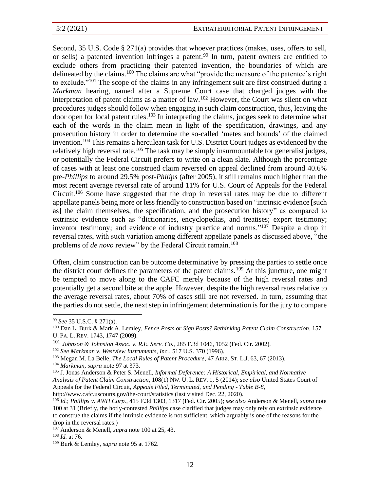Second, 35 U.S. Code § 271(a) provides that whoever practices (makes, uses, offers to sell, or sells) a patented invention infringes a patent.<sup>99</sup> In turn, patent owners are entitled to exclude others from practicing their patented invention, the boundaries of which are delineated by the claims.<sup>100</sup> The claims are what "provide the measure of the patentee's right to exclude."<sup>101</sup> The scope of the claims in any infringement suit are first construed during a *Markman* hearing, named after a Supreme Court case that charged judges with the interpretation of patent claims as a matter of law.<sup>102</sup> However, the Court was silent on what procedures judges should follow when engaging in such claim construction, thus, leaving the door open for local patent rules.<sup>103</sup> In interpreting the claims, judges seek to determine what each of the words in the claim mean in light of the specification, drawings, and any prosecution history in order to determine the so-called 'metes and bounds' of the claimed invention.<sup>104</sup> This remains a herculean task for U.S. District Court judges as evidenced by the relatively high reversal rate.<sup>105</sup> The task may be simply insurmountable for generalist judges, or potentially the Federal Circuit prefers to write on a clean slate. Although the percentage of cases with at least one construed claim reversed on appeal declined from around 40.6% pre-*Phillips* to around 29.5% post-*Philips* (after 2005), it still remains much higher than the most recent average reversal rate of around 11% for U.S. Court of Appeals for the Federal Circuit.<sup>106</sup> Some have suggested that the drop in reversal rates may be due to different appellate panels being more or less friendly to construction based on "intrinsic evidence [such as] the claim themselves, the specification, and the prosecution history" as compared to extrinsic evidence such as "dictionaries, encyclopedias, and treatises; expert testimony; inventor testimony; and evidence of industry practice and norms."<sup>107</sup> Despite a drop in reversal rates, with such variation among different appellate panels as discussed above, "the problems of *de novo* review" by the Federal Circuit remain.<sup>108</sup>

Often, claim construction can be outcome determinative by pressing the parties to settle once the district court defines the parameters of the patent claims.<sup>109</sup> At this juncture, one might be tempted to move along to the CAFC merely because of the high reversal rates and potentially get a second bite at the apple. However, despite the high reversal rates relative to the average reversal rates, about 70% of cases still are not reversed. In turn, assuming that the parties do not settle, the next step in infringement determination is for the jury to compare

<sup>99</sup> *See* 35 U.S.C. § 271(a).

<sup>100</sup> Dan L. Burk & Mark A. Lemley, *Fence Posts or Sign Posts? Rethinking Patent Claim Construction*, 157 U.PA. L. REV. 1743, 1747 (2009).

<sup>101</sup> *Johnson & Johnston Assoc. v. R.E. Serv. Co.*, 285 F.3d 1046, 1052 (Fed. Cir. 2002).

<sup>102</sup> *See Markman v. Westview Instruments, Inc.*, 517 U.S. 370 (1996).

<sup>103</sup> Megan M. La Belle, *The Local Rules of Patent Procedure*, 47 ARIZ.ST. L.J. 63, 67 (2013).

<sup>104</sup> *Markman*, *supra* note 97 at 373.

<sup>105</sup> J. Jonas Anderson & Peter S. Menell, *Informal Deference: A Historical, Empirical, and Normative Analysis of Patent Claim Construction*, 108(1) NW. U. L. REV. 1, 5 (2014); *see also* United States Court of Appeals for the Federal Circuit, *Appeals Filed, Terminated, and Pending - Table B-8*, http://www.cafc.uscourts.gov/the-court/statistics (last visited Dec. 22, 2020).

<sup>106</sup> *Id.*; *Phillips v. AWH Corp.*, 415 F.3d 1303, 1317 (Fed. Cir. 2005); *see also* Anderson & Menell, *supra* note 100 at 31 (Briefly, the hotly-contested *Phillips* case clarified that judges may only rely on extrinsic evidence to construe the claims if the intrinsic evidence is not sufficient, which arguably is one of the reasons for the drop in the reversal rates.)

<sup>107</sup> Anderson & Menell, *supra* note 100 at 25, 43.

<sup>108</sup> *Id.* at 76.

<sup>109</sup> Burk & Lemley, *supra* note 95 at 1762.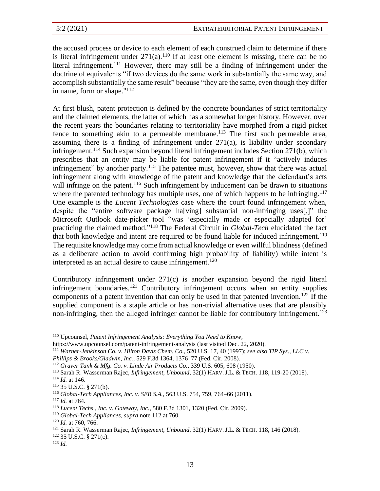the accused process or device to each element of each construed claim to determine if there is literal infringement under  $271(a)$ .<sup>110</sup> If at least one element is missing, there can be no literal infringement.<sup>111</sup> However, there may still be a finding of infringement under the doctrine of equivalents "if two devices do the same work in substantially the same way, and accomplish substantially the same result" because "they are the same, even though they differ in name, form or shape."<sup>112</sup>

At first blush, patent protection is defined by the concrete boundaries of strict territoriality and the claimed elements, the latter of which has a somewhat longer history. However, over the recent years the boundaries relating to territoriality have morphed from a rigid picket fence to something akin to a permeable membrane.<sup>113</sup> The first such permeable area, assuming there is a finding of infringement under 271(a), is liability under secondary infringement.<sup>114</sup> Such expansion beyond literal infringement includes Section 271(b), which prescribes that an entity may be liable for patent infringement if it "actively induces infringement" by another party.<sup>115</sup> The patentee must, however, show that there was actual infringement along with knowledge of the patent and knowledge that the defendant's acts will infringe on the patent.<sup>116</sup> Such infringement by inducement can be drawn to situations where the patented technology has multiple uses, one of which happens to be infringing.<sup>117</sup> One example is the *Lucent Technologies* case where the court found infringement when, despite the "entire software package ha[ving] substantial non-infringing uses[,]" the Microsoft Outlook date-picker tool "was 'especially made or especially adapted for' practicing the claimed method." <sup>118</sup> The Federal Circuit in *Global-Tech* elucidated the fact that both knowledge and intent are required to be found liable for induced infringement.<sup>119</sup> The requisite knowledge may come from actual knowledge or even willful blindness (defined as a deliberate action to avoid confirming high probability of liability) while intent is interpreted as an actual desire to cause infringement.<sup>120</sup>

Contributory infringement under 271(c) is another expansion beyond the rigid literal infringement boundaries.<sup>121</sup> Contributory infringement occurs when an entity supplies components of a patent invention that can only be used in that patented invention.<sup>122</sup> If the supplied component is a staple article or has non-trivial alternative uses that are plausibly non-infringing, then the alleged infringer cannot be liable for contributory infringement.<sup>123</sup>

<sup>110</sup> Upcounsel, *Patent Infringement Analysis: Everything You Need to Know*,

https://www.upcounsel.com/patent-infringement-analysis (last visited Dec. 22, 2020).

<sup>111</sup> *Warner-Jenkinson Co. v. Hilton Davis Chem. Co.*, 520 U.S. 17, 40 (1997); *see also TIP Sys., LLC v. Phillips & Brooks/Gladwin, Inc.*, 529 F.3d 1364, 1376–77 (Fed. Cir. 2008).

<sup>112</sup> *Graver Tank & Mfg. Co. v. Linde Air Products Co.*, 339 U.S. 605, 608 (1950).

<sup>113</sup> Sarah R. Wasserman Rajec, *Infringement, Unbound*, 32(1) HARV. J.L. & TECH. 118, 119-20 (2018).

 $114$  *Id.* at 146.

<sup>115</sup> 35 U.S.C. § 271(b).

<sup>116</sup> *Global-Tech Appliances, Inc. v. SEB S.A.*, 563 U.S. 754, 759, 764–66 (2011).

<sup>117</sup> *Id.* at 764.

<sup>118</sup> *Lucent Techs., Inc. v. Gateway, Inc.*, 580 F.3d 1301, 1320 (Fed. Cir. 2009).

<sup>119</sup> *Global-Tech Appliances*, *supra* note 112 at 760.

<sup>120</sup> *Id.* at 760, 766.

<sup>121</sup> Sarah R. Wasserman Rajec, *Infringement, Unbound*, 32(1) HARV. J.L. & TECH. 118, 146 (2018).

<sup>122</sup> 35 U.S.C. § 271(c).

<sup>123</sup> *Id.*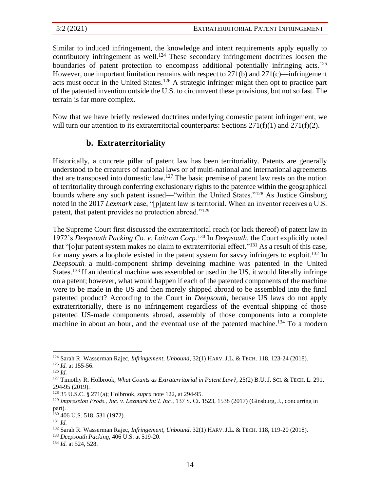Similar to induced infringement, the knowledge and intent requirements apply equally to contributory infringement as well.<sup>124</sup> These secondary infringement doctrines loosen the boundaries of patent protection to encompass additional potentially infringing acts.<sup>125</sup> However, one important limitation remains with respect to 271(b) and 271(c)—infringement acts must occur in the United States.<sup>126</sup> A strategic infringer might then opt to practice part of the patented invention outside the U.S. to circumvent these provisions, but not so fast. The terrain is far more complex.

Now that we have briefly reviewed doctrines underlying domestic patent infringement, we will turn our attention to its extraterritorial counterparts: Sections  $271(f)(1)$  and  $271(f)(2)$ .

### **b. Extraterritoriality**

Historically, a concrete pillar of patent law has been territoriality. Patents are generally understood to be creatures of national laws or of multi-national and international agreements that are transposed into domestic law. <sup>127</sup> The basic premise of patent law rests on the notion of territoriality through conferring exclusionary rights to the patentee within the geographical bounds where any such patent issued—"within the United States."<sup>128</sup> As Justice Ginsburg noted in the 2017 *Lexmark* case, "[p]atent law is territorial. When an inventor receives a U.S. patent, that patent provides no protection abroad."<sup>129</sup>

The Supreme Court first discussed the extraterritorial reach (or lack thereof) of patent law in 1972's *Deepsouth Packing Co. v. Laitram Corp.*<sup>130</sup> In *Deepsouth*, the Court explicitly noted that "[o]ur patent system makes no claim to extraterritorial effect."<sup>131</sup> As a result of this case, for many years a loophole existed in the patent system for savvy infringers to exploit.<sup>132</sup> In *Deepsouth*, a multi-component shrimp deveining machine was patented in the United States.<sup>133</sup> If an identical machine was assembled or used in the US, it would literally infringe on a patent; however, what would happen if each of the patented components of the machine were to be made in the US and then merely shipped abroad to be assembled into the final patented product? According to the Court in *Deepsouth*, because US laws do not apply extraterritorially, there is no infringement regardless of the eventual shipping of those patented US-made components abroad, assembly of those components into a complete machine in about an hour, and the eventual use of the patented machine.<sup>134</sup> To a modern

<sup>124</sup> Sarah R. Wasserman Rajec, *Infringement, Unbound*, 32(1) HARV. J.L. & TECH. 118, 123-24 (2018). <sup>125</sup> *Id.* at 155-56.

<sup>126</sup> *Id.*

<sup>127</sup> Timothy R. Holbrook, *What Counts as Extraterritorial in Patent Law?*, 25(2) B.U. J.SCI. & TECH. L. 291, 294-95 (2019).

<sup>128</sup> 35 U.S.C. § 271(a); Holbrook, *supra* note 122, at 294-95.

<sup>129</sup> *Impression Prods., Inc. v. Lexmark Int'l, Inc.*, 137 S. Ct. 1523, 1538 (2017) (Ginsburg, J., concurring in part).

<sup>130</sup> 406 U.S. 518, 531 (1972).

<sup>131</sup> *Id.*

<sup>132</sup> Sarah R. Wasserman Rajec, *Infringement, Unbound*, 32(1) HARV. J.L. & TECH. 118, 119-20 (2018).

<sup>133</sup> *Deepsouth Packing*, 406 U.S. at 519-20.

<sup>134</sup> *Id.* at 524, 528.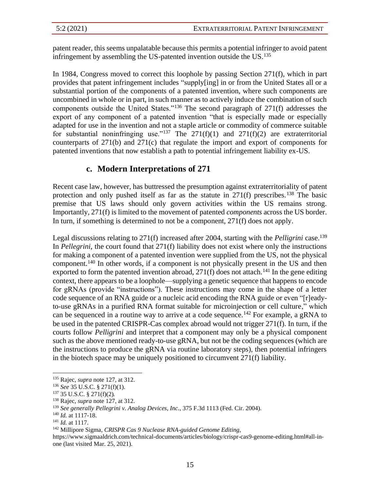patent reader, this seems unpalatable because this permits a potential infringer to avoid patent infringement by assembling the US-patented invention outside the US. 135

In 1984, Congress moved to correct this loophole by passing Section 271(f), which in part provides that patent infringement includes "supply[ing] in or from the United States all or a substantial portion of the components of a patented invention, where such components are uncombined in whole or in part, in such manner as to actively induce the combination of such components outside the United States."<sup>136</sup> The second paragraph of 271(f) addresses the export of any component of a patented invention "that is especially made or especially adapted for use in the invention and not a staple article or commodity of commerce suitable for substantial noninfringing use."<sup>137</sup> The  $271(f)(1)$  and  $271(f)(2)$  are extraterritorial counterparts of 271(b) and 271(c) that regulate the import and export of components for patented inventions that now establish a path to potential infringement liability ex-US.

### **c. Modern Interpretations of 271**

Recent case law, however, has buttressed the presumption against extraterritoriality of patent protection and only pushed itself as far as the statute in  $271(f)$  prescribes.<sup>138</sup> The basic premise that US laws should only govern activities within the US remains strong. Importantly, 271(f) is limited to the movement of patented *components* across the US border. In turn, if something is determined to not be a component,  $271(f)$  does not apply.

Legal discussions relating to 271(f) increased after 2004, starting with the *Pelligrini* case.<sup>139</sup> In *Pellegrini*, the court found that 271(f) liability does not exist where only the instructions for making a component of a patented invention were supplied from the US, not the physical component. <sup>140</sup> In other words, if a component is not physically present in the US and then exported to form the patented invention abroad,  $271(f)$  does not attach.<sup>141</sup> In the gene editing context, there appears to be a loophole—supplying a genetic sequence that happens to encode for gRNAs (provide "instructions"). These instructions may come in the shape of a letter code sequence of an RNA guide or a nucleic acid encoding the RNA guide or even "[r]eadyto-use gRNAs in a purified RNA format suitable for microinjection or cell culture," which can be sequenced in a routine way to arrive at a code sequence.<sup>142</sup> For example, a gRNA to be used in the patented CRISPR-Cas complex abroad would not trigger 271(f). In turn, if the courts follow *Pelligrini* and interpret that a component may only be a physical component such as the above mentioned ready-to-use gRNA, but not be the coding sequences (which are the instructions to produce the gRNA via routine laboratory steps), then potential infringers in the biotech space may be uniquely positioned to circumvent 271(f) liability.

<sup>135</sup> Rajec, *supra* note 127, at 312.

<sup>136</sup> *See* 35 U.S.C. § 271(f)(1).

<sup>137</sup> 35 U.S.C. § 271(f)(2)*.*

<sup>138</sup> Rajec, *supra* note 127, at 312.

<sup>139</sup> *See generally Pellegrini v. Analog Devices, Inc.*, 375 F.3d 1113 (Fed. Cir. 2004).

<sup>140</sup> *Id.* at 1117-18.

<sup>141</sup> *Id.* at 1117.

<sup>142</sup> Millipore Sigma, *CRISPR Cas 9 Nuclease RNA-guided Genome Editing*,

https://www.sigmaaldrich.com/technical-documents/articles/biology/crispr-cas9-genome-editing.html#all-inone (last visited Mar. 25, 2021).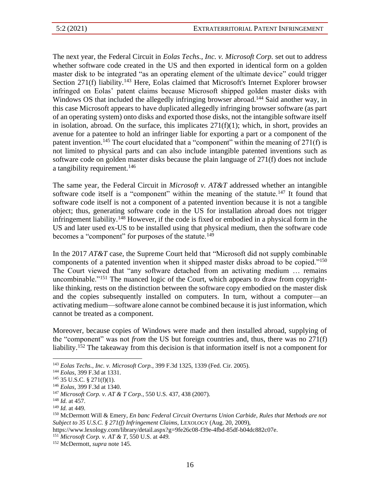The next year, the Federal Circuit in *Eolas Techs., Inc. v. Microsoft Corp.* set out to address whether software code created in the US and then exported in identical form on a golden master disk to be integrated "as an operating element of the ultimate device" could trigger Section 271(f) liability.<sup>143</sup> Here, Eolas claimed that Microsoft's Internet Explorer browser infringed on Eolas' patent claims because Microsoft shipped golden master disks with Windows OS that included the allegedly infringing browser abroad.<sup>144</sup> Said another way, in this case Microsoft appears to have duplicated allegedly infringing browser software (as part of an operating system) onto disks and exported those disks, not the intangible software itself in isolation, abroad. On the surface, this implicates  $271(f)(1)$ ; which, in short, provides an avenue for a patentee to hold an infringer liable for exporting a part or a component of the patent invention.<sup>145</sup> The court elucidated that a "component" within the meaning of  $271(f)$  is not limited to physical parts and can also include intangible patented inventions such as software code on golden master disks because the plain language of 271(f) does not include a tangibility requirement.<sup>146</sup>

The same year, the Federal Circuit in *Microsoft v. AT&T* addressed whether an intangible software code itself is a "component" within the meaning of the statute.<sup>147</sup> It found that software code itself is not a component of a patented invention because it is not a tangible object; thus, generating software code in the US for installation abroad does not trigger infringement liability.<sup>148</sup> However, if the code is fixed or embodied in a physical form in the US and later used ex-US to be installed using that physical medium, then the software code becomes a "component" for purposes of the statute.<sup>149</sup>

In the 2017 *AT&T* case, the Supreme Court held that "Microsoft did not supply combinable components of a patented invention when it shipped master disks abroad to be copied."<sup>150</sup> The Court viewed that "any software detached from an activating medium … remains uncombinable."<sup>151</sup> The nuanced logic of the Court, which appears to draw from copyrightlike thinking, rests on the distinction between the software copy embodied on the master disk and the copies subsequently installed on computers. In turn, without a computer—an activating medium—software alone cannot be combined because it is just information, which cannot be treated as a component.

Moreover, because copies of Windows were made and then installed abroad, supplying of the "component" was not *from* the US but foreign countries and, thus, there was no 271(f) liability.<sup>152</sup> The takeaway from this decision is that information itself is not a component for

<sup>143</sup> *Eolas Techs., Inc. v. Microsoft Corp.*, 399 F.3d 1325, 1339 (Fed. Cir. 2005).

<sup>144</sup> *Eolas*, 399 F.3d at 1331.

<sup>145</sup> 35 U.S.C. § 271(f)(1).

<sup>146</sup> *Eolas*, 399 F.3d at 1340.

<sup>147</sup> *Microsoft Corp. v. AT & T Corp.*, 550 U.S. 437, 438 (2007).

<sup>148</sup> *Id.* at 457.

<sup>149</sup> *Id.* at 449.

<sup>150</sup> McDermott Will & Emery, *En banc Federal Circuit Overturns Union Carbide, Rules that Methods are not Subject to 35 U.S.C. § 271(f) Infringement Claims*, LEXOLOGY (Aug. 20, 2009),

https://www.lexology.com/library/detail.aspx?g=9fe26c08-f39e-4fbd-85df-b04dc882c07e.

<sup>151</sup> *Microsoft Corp. v. AT & T*, 550 U.S. at *449.*

<sup>152</sup> McDermott, *supra* note 145.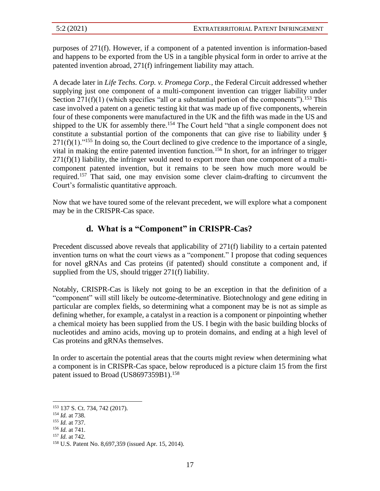purposes of 271(f). However, if a component of a patented invention is information-based and happens to be exported from the US in a tangible physical form in order to arrive at the patented invention abroad, 271(f) infringement liability may attach.

A decade later in *Life Techs. Corp. v. Promega Corp.*, the Federal Circuit addressed whether supplying just one component of a multi-component invention can trigger liability under Section 271(f)(1) (which specifies "all or a substantial portion of the components").<sup>153</sup> This case involved a patent on a genetic testing kit that was made up of five components, wherein four of these components were manufactured in the UK and the fifth was made in the US and shipped to the UK for assembly there.<sup>154</sup> The Court held "that a single component does not constitute a substantial portion of the components that can give rise to liability under §  $271(f)(1)$ ."<sup>155</sup> In doing so, the Court declined to give credence to the importance of a single, vital in making the entire patented invention function.<sup>156</sup> In short, for an infringer to trigger  $271(f)(1)$  liability, the infringer would need to export more than one component of a multicomponent patented invention, but it remains to be seen how much more would be required.<sup>157</sup> That said, one may envision some clever claim-drafting to circumvent the Court's formalistic quantitative approach.

Now that we have toured some of the relevant precedent, we will explore what a component may be in the CRISPR-Cas space.

# **d. What is a "Component" in CRISPR-Cas?**

Precedent discussed above reveals that applicability of 271(f) liability to a certain patented invention turns on what the court views as a "component." I propose that coding sequences for novel gRNAs and Cas proteins (if patented) should constitute a component and, if supplied from the US, should trigger 271(f) liability.

Notably, CRISPR-Cas is likely not going to be an exception in that the definition of a "component" will still likely be outcome-determinative. Biotechnology and gene editing in particular are complex fields, so determining what a component may be is not as simple as defining whether, for example, a catalyst in a reaction is a component or pinpointing whether a chemical moiety has been supplied from the US. I begin with the basic building blocks of nucleotides and amino acids, moving up to protein domains, and ending at a high level of Cas proteins and gRNAs themselves.

In order to ascertain the potential areas that the courts might review when determining what a component is in CRISPR-Cas space, below reproduced is a picture claim 15 from the first patent issued to Broad (US8697359B1).<sup>158</sup>

<sup>153</sup> 137 S. Ct. 734, 742 (2017).

<sup>154</sup> *Id.* at 738.

<sup>155</sup> *Id.* at 737.

<sup>156</sup> *Id.* at 741.

<sup>157</sup> *Id.* at 742.

<sup>158</sup> U.S. Patent No. 8,697,359 (issued Apr. 15, 2014).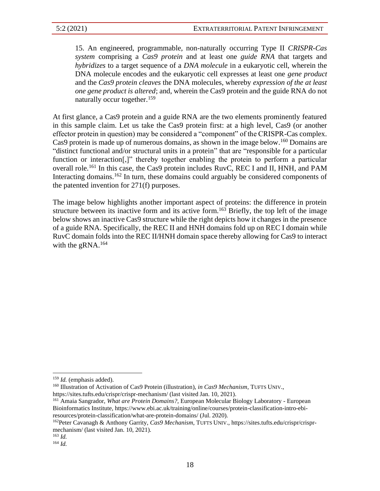15. An engineered, programmable, non-naturally occurring Type II *CRISPR-Cas system* comprising a *Cas9 protein* and at least one *guide RNA* that targets and *hybridizes* to a target sequence of a *DNA molecule* in a eukaryotic cell, wherein the DNA molecule encodes and the eukaryotic cell expresses at least one *gene product* and the *Cas9 protein cleaves* the DNA molecules, whereby *expression of the at least one gene product is altered*; and, wherein the Cas9 protein and the guide RNA do not naturally occur together.<sup>159</sup>

At first glance, a Cas9 protein and a guide RNA are the two elements prominently featured in this sample claim. Let us take the Cas9 protein first: at a high level, Cas9 (or another effector protein in question) may be considered a "component" of the CRISPR-Cas complex. Cas9 protein is made up of numerous domains, as shown in the image below. <sup>160</sup> Domains are "distinct functional and/or structural units in a protein" that are "responsible for a particular function or interaction<sup>[1]</sup>, thereby together enabling the protein to perform a particular overall role.<sup>161</sup> In this case, the Cas9 protein includes RuvC, REC I and II, HNH, and PAM Interacting domains.<sup>162</sup> In turn, these domains could arguably be considered components of the patented invention for 271(f) purposes.

The image below highlights another important aspect of proteins: the difference in protein structure between its inactive form and its active form.<sup>163</sup> Briefly, the top left of the image below shows an inactive Cas9 structure while the right depicts how it changes in the presence of a guide RNA. Specifically, the REC II and HNH domains fold up on REC I domain while RuvC domain folds into the REC II/HNH domain space thereby allowing for Cas9 to interact with the gRNA. $164$ 

<sup>159</sup> *Id.* (emphasis added).

<sup>&</sup>lt;sup>160</sup> Illustration of Activation of Cas9 Protein (illustration), *in Cas9 Mechanism*, TUFTS UNIV., https://sites.tufts.edu/crispr/crispr-mechanism/ (last visited Jan. 10, 2021).

<sup>161</sup> Amaia Sangrador, *What are Protein Domains?*, European Molecular Biology Laboratory - European Bioinformatics Institute, https://www.ebi.ac.uk/training/online/courses/protein-classification-intro-ebiresources/protein-classification/what-are-protein-domains/ (Jul. 2020).

<sup>162</sup>Peter Cavanagh & Anthony Garrity, *Cas9 Mechanism*, TUFTS UNIV., https://sites.tufts.edu/crispr/crisprmechanism/ (last visited Jan. 10, 2021).

<sup>163</sup> *Id.*

<sup>164</sup> *Id.*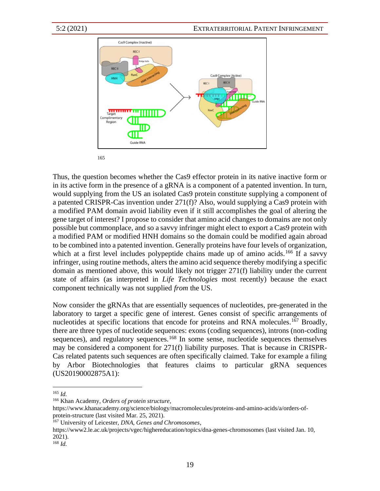

Thus, the question becomes whether the Cas9 effector protein in its native inactive form or in its active form in the presence of a gRNA is a component of a patented invention. In turn, would supplying from the US an isolated Cas9 protein constitute supplying a component of a patented CRISPR-Cas invention under 271(f)? Also, would supplying a Cas9 protein with a modified PAM domain avoid liability even if it still accomplishes the goal of altering the gene target of interest? I propose to consider that amino acid changes to domains are not only possible but commonplace, and so a savvy infringer might elect to export a Cas9 protein with a modified PAM or modified HNH domains so the domain could be modified again abroad to be combined into a patented invention. Generally proteins have four levels of organization, which at a first level includes polypeptide chains made up of amino acids.<sup>166</sup> If a savvy infringer, using routine methods, alters the amino acid sequence thereby modifying a specific domain as mentioned above, this would likely not trigger 271(f) liability under the current state of affairs (as interpreted in *Life Technologies* most recently) because the exact component technically was not supplied *from* the US.

Now consider the gRNAs that are essentially sequences of nucleotides, pre-generated in the laboratory to target a specific gene of interest. Genes consist of specific arrangements of nucleotides at specific locations that encode for proteins and RNA molecules.<sup>167</sup> Broadly, there are three types of nucleotide sequences: exons (coding sequences), introns (non-coding sequences), and regulatory sequences.<sup>168</sup> In some sense, nucleotide sequences themselves may be considered a component for 271(f) liability purposes. That is because in CRISPR-Cas related patents such sequences are often specifically claimed. Take for example a filing by Arbor Biotechnologies that features claims to particular gRNA sequences (US20190002875A1):

<sup>165</sup> *Id.*

<sup>166</sup> Khan Academy, *Orders of protein structure*,

https://www.khanacademy.org/science/biology/macromolecules/proteins-and-amino-acids/a/orders-ofprotein-structure (last visited Mar. 25, 2021).

<sup>167</sup> University of Leicester, *DNA, Genes and Chromosomes*,

https://www2.le.ac.uk/projects/vgec/highereducation/topics/dna-genes-chromosomes (last visited Jan. 10, 2021).

<sup>168</sup> *Id.*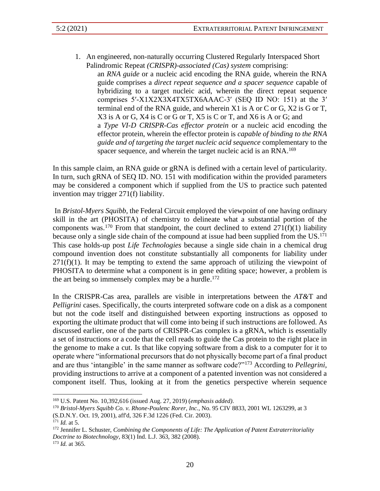1. An engineered, non-naturally occurring Clustered Regularly Interspaced Short Palindromic Repeat *(CRISPR)-associated (Cas) system* comprising:

an *RNA guide* or a nucleic acid encoding the RNA guide, wherein the RNA guide comprises a *direct repeat sequence and a spacer sequence* capable of hybridizing to a target nucleic acid, wherein the direct repeat sequence comprises 5′-X1X2X3X4TX5TX6AAAC-3′ (SEQ ID NO: 151) at the 3′ terminal end of the RNA guide, and wherein X1 is A or C or G, X2 is G or T, X3 is A or G, X4 is C or G or T, X5 is C or T, and X6 is A or G; and a *Type VI-D CRISPR-Cas effector protein* or a nucleic acid encoding the effector protein, wherein the effector protein is *capable of binding to the RNA guide and of targeting the target nucleic acid sequence* complementary to the spacer sequence, and wherein the target nucleic acid is an RNA.<sup>169</sup>

In this sample claim, an RNA guide or gRNA is defined with a certain level of particularity. In turn, such gRNA of SEQ ID. NO. 151 with modification within the provided parameters may be considered a component which if supplied from the US to practice such patented invention may trigger 271(f) liability.

In *Bristol-Myers Squibb*, the Federal Circuit employed the viewpoint of one having ordinary skill in the art (PHOSITA) of chemistry to delineate what a substantial portion of the components was.<sup>170</sup> From that standpoint, the court declined to extend  $271(f)(1)$  liability because only a single side chain of the compound at issue had been supplied from the US.<sup>171</sup> This case holds-up post *Life Technologies* because a single side chain in a chemical drug compound invention does not constitute substantially all components for liability under  $271(f)(1)$ . It may be tempting to extend the same approach of utilizing the viewpoint of PHOSITA to determine what a component is in gene editing space; however, a problem is the art being so immensely complex may be a hurdle. 172

In the CRISPR-Cas area, parallels are visible in interpretations between the *AT&*T and *Pelligrini* cases. Specifically, the courts interpreted software code on a disk as a component but not the code itself and distinguished between exporting instructions as opposed to exporting the ultimate product that will come into being if such instructions are followed. As discussed earlier, one of the parts of CRISPR-Cas complex is a gRNA, which is essentially a set of instructions or a code that the cell reads to guide the Cas protein to the right place in the genome to make a cut. Is that like copying software from a disk to a computer for it to operate where "informational precursors that do not physically become part of a final product and are thus 'intangible' in the same manner as software code?"<sup>173</sup> According to *Pellegrini*, providing instructions to arrive at a component of a patented invention was not considered a component itself. Thus, looking at it from the genetics perspective wherein sequence

<sup>169</sup> U.S. Patent No. 10,392,616 (issued Aug. 27, 2019) (*emphasis added)*.

<sup>170</sup> *Bristol-Myers Squibb Co. v. Rhone-Poulenc Rorer, Inc.*, No. 95 CIV 8833, 2001 WL 1263299, at 3 (S.D.N.Y. Oct. 19, 2001), aff'd, 326 F.3d 1226 (Fed. Cir. 2003).

<sup>171</sup> *Id.* at 5.

<sup>172</sup> Jennifer L. Schuster, *Combining the Components of Life: The Application of Patent Extraterritoriality Doctrine to Biotechnology*, 83(1) Ind. L.J. 363, 382 (2008). <sup>173</sup> *Id.* at 365.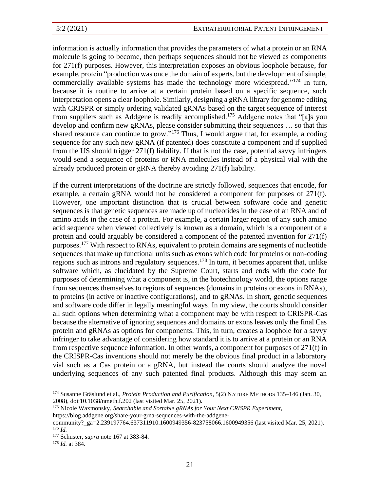information is actually information that provides the parameters of what a protein or an RNA molecule is going to become, then perhaps sequences should not be viewed as components for 271(f) purposes. However, this interpretation exposes an obvious loophole because, for example, protein "production was once the domain of experts, but the development of simple, commercially available systems has made the technology more widespread."<sup>174</sup> In turn, because it is routine to arrive at a certain protein based on a specific sequence, such interpretation opens a clear loophole. Similarly, designing a gRNA library for genome editing with CRISPR or simply ordering validated gRNAs based on the target sequence of interest from suppliers such as Addgene is readily accomplished.<sup>175</sup> Addgene notes that "[a]s you develop and confirm new gRNAs, please consider submitting their sequences … so that this shared resource can continue to grow."<sup>176</sup> Thus, I would argue that, for example, a coding sequence for any such new gRNA (if patented) does constitute a component and if supplied from the US should trigger 271(f) liability. If that is not the case, potential savvy infringers would send a sequence of proteins or RNA molecules instead of a physical vial with the already produced protein or gRNA thereby avoiding 271(f) liability.

If the current interpretations of the doctrine are strictly followed, sequences that encode, for example, a certain gRNA would not be considered a component for purposes of 271(f). However, one important distinction that is crucial between software code and genetic sequences is that genetic sequences are made up of nucleotides in the case of an RNA and of amino acids in the case of a protein. For example, a certain larger region of any such amino acid sequence when viewed collectively is known as a domain, which is a component of a protein and could arguably be considered a component of the patented invention for 271(f) purposes.<sup>177</sup> With respect to RNAs, equivalent to protein domains are segments of nucleotide sequences that make up functional units such as exons which code for proteins or non-coding regions such as introns and regulatory sequences.<sup>178</sup> In turn, it becomes apparent that, unlike software which, as elucidated by the Supreme Court, starts and ends with the code for purposes of determining what a component is, in the biotechnology world, the options range from sequences themselves to regions of sequences (domains in proteins or exons in RNAs), to proteins (in active or inactive configurations), and to gRNAs. In short, genetic sequences and software code differ in legally meaningful ways. In my view, the courts should consider all such options when determining what a component may be with respect to CRISPR-Cas because the alternative of ignoring sequences and domains or exons leaves only the final Cas protein and gRNAs as options for components. This, in turn, creates a loophole for a savvy infringer to take advantage of considering how standard it is to arrive at a protein or an RNA from respective sequence information. In other words, a component for purposes of 271(f) in the CRISPR-Cas inventions should not merely be the obvious final product in a laboratory vial such as a Cas protein or a gRNA, but instead the courts should analyze the novel underlying sequences of any such patented final products. Although this may seem an

https://blog.addgene.org/share-your-grna-sequences-with-the-addgene-

<sup>174</sup> Susanne Gräslund et al., *Protein Production and Purification*, 5(2) NATURE METHODS 135–146 (Jan. 30, 2008), doi:10.1038/nmeth.f.202 (last visited Mar. 25, 2021).

<sup>175</sup> Nicole Waxmonsky, *Searchable and Sortable gRNAs for Your Next CRISPR Experiment*,

community?\_ga=2.239197764.637311910.1600949356-823758066.1600949356 (last visited Mar. 25, 2021). <sup>176</sup> *Id.*

<sup>177</sup> Schuster, *supra* note 167 at 383-84.

<sup>178</sup> *Id.* at 384.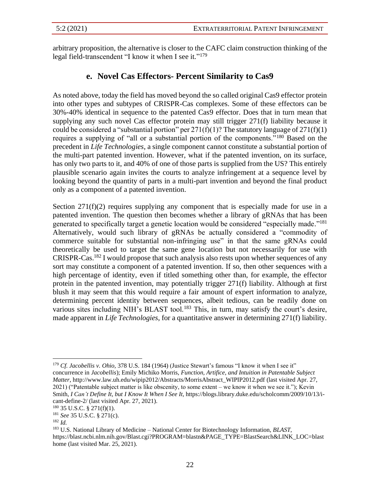arbitrary proposition, the alternative is closer to the CAFC claim construction thinking of the legal field-transcendent "I know it when I see it."<sup>179</sup>

# **e. Novel Cas Effectors- Percent Similarity to Cas9**

As noted above, today the field has moved beyond the so called original Cas9 effector protein into other types and subtypes of CRISPR-Cas complexes. Some of these effectors can be 30%-40% identical in sequence to the patented Cas9 effector. Does that in turn mean that supplying any such novel Cas effector protein may still trigger 271(f) liability because it could be considered a "substantial portion" per  $271(f)(1)$ ? The statutory language of  $271(f)(1)$ requires a supplying of "all or a substantial portion of the components."<sup>180</sup> Based on the precedent in *Life Technologies*, a single component cannot constitute a substantial portion of the multi-part patented invention. However, what if the patented invention, on its surface, has only two parts to it, and 40% of one of those parts is supplied from the US? This entirely plausible scenario again invites the courts to analyze infringement at a sequence level by looking beyond the quantity of parts in a multi-part invention and beyond the final product only as a component of a patented invention.

Section  $271(f)(2)$  requires supplying any component that is especially made for use in a patented invention. The question then becomes whether a library of gRNAs that has been generated to specifically target a genetic location would be considered "especially made."<sup>181</sup> Alternatively, would such library of gRNAs be actually considered a "commodity of commerce suitable for substantial non-infringing use" in that the same gRNAs could theoretically be used to target the same gene location but not necessarily for use with CRISPR-Cas.<sup>182</sup> I would propose that such analysis also rests upon whether sequences of any sort may constitute a component of a patented invention. If so, then other sequences with a high percentage of identity, even if titled something other than, for example, the effector protein in the patented invention, may potentially trigger 271(f) liability. Although at first blush it may seem that this would require a fair amount of expert information to analyze, determining percent identity between sequences, albeit tedious, can be readily done on various sites including NIH's BLAST tool.<sup>183</sup> This, in turn, may satisfy the court's desire, made apparent in *Life Technologies*, for a quantitative answer in determining 271(f) liability.

<sup>179</sup> *Cf. Jacobellis v. Ohio,* 378 U.S. 184 (1964) (Justice Stewart's famous "I know it when I see it" concurrence in *Jacobellis*); Emily Michiko Morris, *Function, Artifice, and Intuition in Patentable Subject Matter*, http://www.law.uh.edu/wipip2012/Abstracts/MorrisAbstract\_WIPIP2012.pdf (last visited Apr. 27, 2021) ("Patentable subject matter is like obscenity, to some extent – we know it when we see it."); Kevin Smith, *I Can't Define It, but I Know It When I See It*, https://blogs.library.duke.edu/scholcomm/2009/10/13/icant-define-2/ (last visited Apr. 27, 2021).

 $180$  35 U.S.C. § 271(f)(1).

<sup>181</sup> *See* 35 U.S.C. § 271(c).

<sup>182</sup> *Id.*

<sup>183</sup> U.S. National Library of Medicine – National Center for Biotechnology Information, *BLAST*, https://blast.ncbi.nlm.nih.gov/Blast.cgi?PROGRAM=blastn&PAGE\_TYPE=BlastSearch&LINK\_LOC=blast home (last visited Mar. 25, 2021).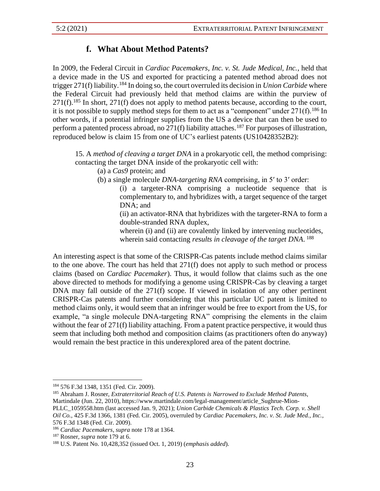# **f. What About Method Patents?**

In 2009, the Federal Circuit in *Cardiac Pacemakers, Inc. v. St. Jude Medical, Inc.*, held that a device made in the US and exported for practicing a patented method abroad does not trigger 271(f) liability.<sup>184</sup> In doing so, the court overruled its decision in *Union Carbide* where the Federal Circuit had previously held that method claims are within the purview of  $271(f).$ <sup>185</sup> In short,  $271(f)$  does not apply to method patents because, according to the court, it is not possible to supply method steps for them to act as a "component" under  $271(f)$ .<sup>186</sup> In other words, if a potential infringer supplies from the US a device that can then be used to perform a patented process abroad, no  $271(f)$  liability attaches.<sup>187</sup> For purposes of illustration, reproduced below is claim 15 from one of UC's earliest patents (US10428352B2):

15. A *method of cleaving a target DNA* in a prokaryotic cell, the method comprising: contacting the target DNA inside of the prokaryotic cell with:

(a) a *Cas9* protein; and

(b) a single molecule *DNA-targeting RNA* comprising, in 5′ to 3′ order:

(i) a targeter-RNA comprising a nucleotide sequence that is complementary to, and hybridizes with, a target sequence of the target DNA; and

(ii) an activator-RNA that hybridizes with the targeter-RNA to form a double-stranded RNA duplex,

wherein (i) and (ii) are covalently linked by intervening nucleotides, wherein said contacting *results in cleavage of the target DNA*. 188

An interesting aspect is that some of the CRISPR-Cas patents include method claims similar to the one above. The court has held that 271(f) does not apply to such method or process claims (based on *Cardiac Pacemaker*). Thus, it would follow that claims such as the one above directed to methods for modifying a genome using CRISPR-Cas by cleaving a target DNA may fall outside of the 271(f) scope. If viewed in isolation of any other pertinent CRISPR-Cas patents and further considering that this particular UC patent is limited to method claims only, it would seem that an infringer would be free to export from the US, for example, "a single molecule DNA-targeting RNA" comprising the elements in the claim without the fear of 271(f) liability attaching. From a patent practice perspective, it would thus seem that including both method and composition claims (as practitioners often do anyway) would remain the best practice in this underexplored area of the patent doctrine.

*Oil Co.*, 425 F.3d 1366, 1381 (Fed. Cir. 2005), overruled by *Cardiac Pacemakers, Inc. v. St. Jude Med., Inc.*, 576 F.3d 1348 (Fed. Cir. 2009).

<sup>184</sup> 576 F.3d 1348, 1351 (Fed. Cir. 2009).

<sup>185</sup> Abraham J. Rosner, *Extraterritorial Reach of U.S. Patents is Narrowed to Exclude Method Patents*, Martindale (Jun. 22, 2010), https://www.martindale.com/legal-management/article\_Sughrue-Mion-PLLC\_1059558.htm (last accessed Jan. 9, 2021); *Union Carbide Chemicals & Plastics Tech. Corp. v. Shell* 

<sup>186</sup> *Cardiac Pacemakers*, *supra* note 178 at 1364.

<sup>187</sup> Rosner, *supra* note 179 at 6.

<sup>188</sup> U.S. Patent No. 10,428,352 (issued Oct. 1, 2019) (*emphasis added*).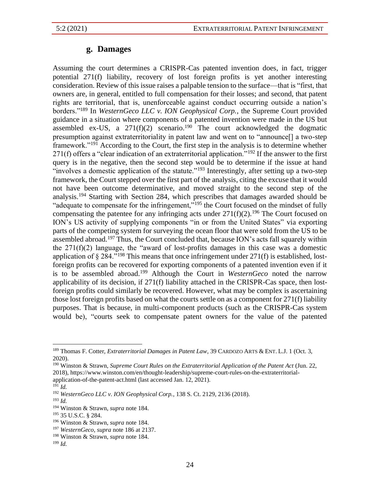# **g. Damages**

Assuming the court determines a CRISPR-Cas patented invention does, in fact, trigger potential 271(f) liability, recovery of lost foreign profits is yet another interesting consideration. Review of this issue raises a palpable tension to the surface—that is "first, that owners are, in general, entitled to full compensation for their losses; and second, that patent rights are territorial, that is, unenforceable against conduct occurring outside a nation's borders."<sup>189</sup> In *WesternGeco LLC v. ION Geophysical Corp.*, the Supreme Court provided guidance in a situation where components of a patented invention were made in the US but assembled ex-US, a  $271(f)(2)$  scenario.<sup>190</sup> The court acknowledged the dogmatic presumption against extraterritoriality in patent law and went on to "announce[] a two-step framework."<sup>191</sup> According to the Court, the first step in the analysis is to determine whether 271(f) offers a "clear indication of an extraterritorial application."<sup>192</sup> If the answer to the first query is in the negative, then the second step would be to determine if the issue at hand "involves a domestic application of the statute."<sup>193</sup> Interestingly, after setting up a two-step framework, the Court stepped over the first part of the analysis, citing the excuse that it would not have been outcome determinative, and moved straight to the second step of the analysis.<sup>194</sup> Starting with Section 284, which prescribes that damages awarded should be "adequate to compensate for the infringement,"<sup>195</sup> the Court focused on the mindset of fully compensating the patentee for any infringing acts under  $271(f)(2)$ .<sup>196</sup> The Court focused on ION's US activity of supplying components "in or from the United States" via exporting parts of the competing system for surveying the ocean floor that were sold from the US to be assembled abroad.<sup>197</sup> Thus, the Court concluded that, because ION's acts fall squarely within the 271(f)(2) language, the "award of lost-profits damages in this case was a domestic application of  $\S 284$ ."<sup>198</sup> This means that once infringement under 271(f) is established, lostforeign profits can be recovered for exporting components of a patented invention even if it is to be assembled abroad. <sup>199</sup> Although the Court in *WesternGeco* noted the narrow applicability of its decision, if 271(f) liability attached in the CRISPR-Cas space, then lostforeign profits could similarly be recovered. However, what may be complex is ascertaining those lost foreign profits based on what the courts settle on as a component for 271(f) liability purposes. That is because, in multi-component products (such as the CRISPR-Cas system would be), "courts seek to compensate patent owners for the value of the patented

<sup>189</sup> Thomas F. Cotter, *Extraterritorial Damages in Patent Law*, 39 CARDOZO ARTS & ENT. L.J. 1 (Oct. 3, 2020).

<sup>190</sup> Winston & Strawn, *Supreme Court Rules on the Extraterritorial Application of the Patent Act* (Jun. 22, 2018), https://www.winston.com/en/thought-leadership/supreme-court-rules-on-the-extraterritorialapplication-of-the-patent-act.html (last accessed Jan. 12, 2021).

 $^{191}$  *Id.* 

<sup>192</sup> *WesternGeco LLC v. ION Geophysical Corp.*, 138 S. Ct. 2129, 2136 (2018).

<sup>193</sup> *Id.*

<sup>194</sup> Winston & Strawn, *supra* note 184.

<sup>195</sup> 35 U.S.C. § 284.

<sup>196</sup> Winston & Strawn, *supra* note 184.

<sup>197</sup> *WesternGeco*, *supra* note 186 at 2137.

<sup>198</sup> Winston & Strawn, *supra* note 184.

<sup>199</sup> *Id.*